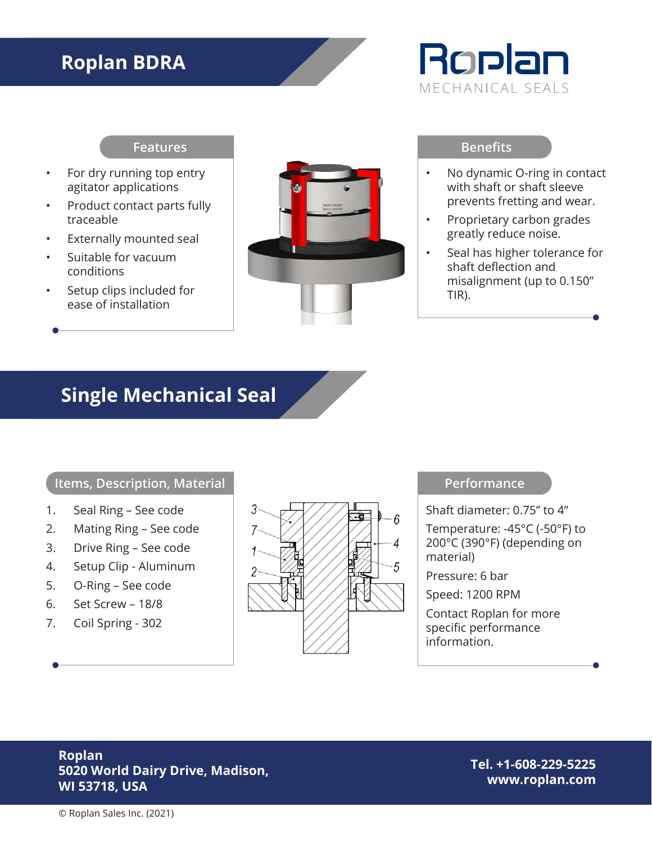# **Roplan BDRA**



#### **Features**

- For dry running top entry agitator applications
- Product contact parts fully traceable
- Externally mounted seal
- Suitable for vacuum conditions
- Setup clips included for ease of installation



#### **Benefits**

- No dynamic O-ring in contact with shaft or shaft sleeve prevents fretting and wear.
- Proprietary carbon grades greatly reduce noise.
- Seal has higher tolerance for shaft deflection and misalignment (up to 0.150" TIR).

## **Single Mechanical Seal**

## **Items, Description, Material**

- 1. Seal Ring See code
- 2. Mating Ring See code
- 3. Drive Ring See code
- 4. Setup Clip Aluminum
- 5. O-Ring See code
- 6. Set Screw 18/8
- 7. Coil Spring 302



#### **Performance**

Shaft diameter: 0.75" to 4"

Temperature: -45°C (-50°F) to 200°C (390°F) (depending on material)

Pressure: 6 bar

Speed: 1200 RPM

Contact Roplan for more specific performance information.

## **Roplan 5020 World Dairy Drive, Madison, WI 53718, USA**

**Tel. +1-608-229-5225 www.roplan.com**